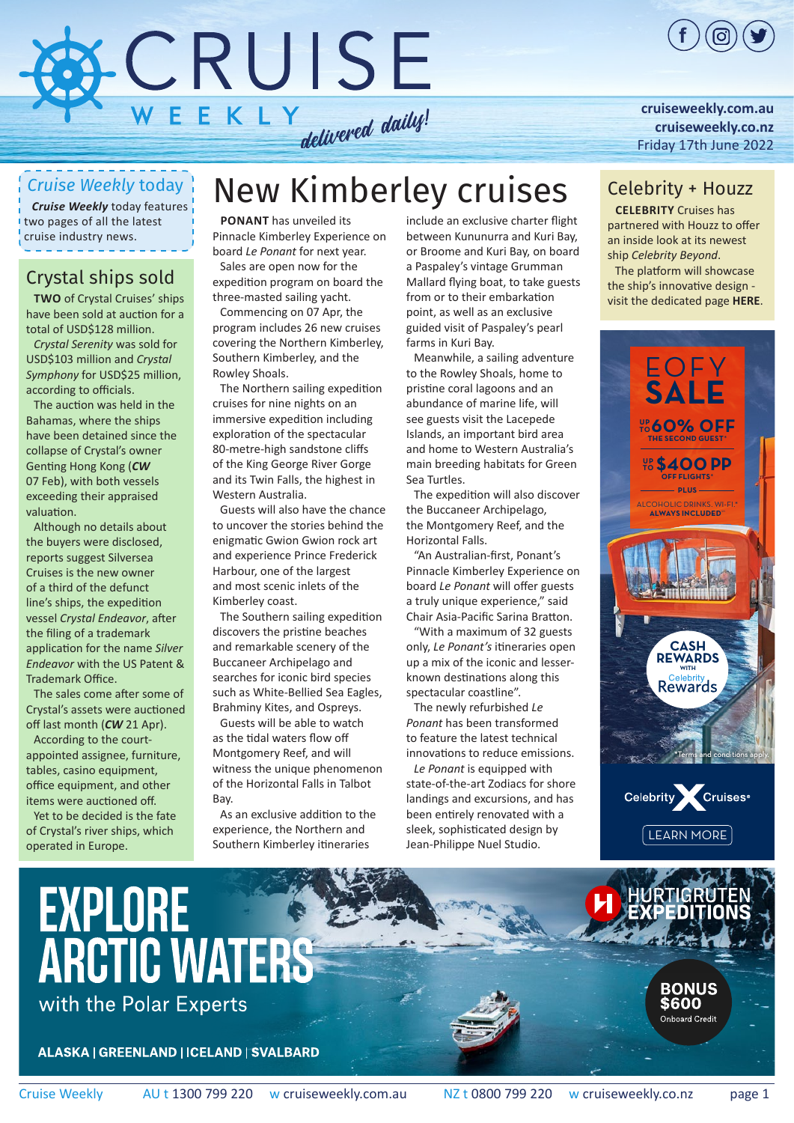

#### **[cruiseweekly.com.au](https://bpgclick.com/cw/1?c=121&tdutm_source=pdf&tdutm_medium=pdf&tdutm_campaign=CW170622&u=http://cruiseweekly.com.au/) [cruiseweekly.co.nz](https://bpgclick.com/cw/1?c=145&tdutm_source=pdf&tdutm_medium=pdf&tdutm_campaign=CW170622&u=https://cruiseweekly.co.nz/)** [Friday 17th June 2022](https://bpgclick.com/cw/1?c=121&tdutm_source=pdf&tdutm_medium=pdf&tdutm_campaign=CW170622&u=http://cruiseweekly.com.au/)

#### *Cruise Weekly* today

*Cruise Weekly* today features two pages of all the latest cruise industry news.

#### Crystal ships sold

**Two** of Crystal Cruises' ships have been sold at auction for a total of USD\$128 million.

*Crystal Serenity* was sold for USD\$103 million and *Crystal Symphony* for USD\$25 million, according to officials.

The auction was held in the Bahamas, where the ships have been detained since the collapse of Crystal's owner Genting Hong Kong (*[CW](https://bpgclick.com/cw/1?c=195&tdutm_source=pdf&tdutm_medium=pdf&tdutm_campaign=CW170622&u=https://issues.cruiseweekly.com.au/2022/Feb22/cw070222.pdf)* [07 Feb](https://bpgclick.com/cw/1?c=195&tdutm_source=pdf&tdutm_medium=pdf&tdutm_campaign=CW170622&u=https://issues.cruiseweekly.com.au/2022/Feb22/cw070222.pdf)), with both vessels exceeding their appraised valuation.

Although no details about the buyers were disclosed, reports suggest Silversea Cruises is the new owner of a third of the defunct line's ships, the expedition vessel *Crystal Endeavor*, after the filing of a trademark application for the name *Silver Endeavor* with the US Patent & Trademark Office.

The sales come after some of Crystal's assets were auctioned off last month (*CW* [21 Apr\)](https://bpgclick.com/cw/1?c=195&tdutm_source=pdf&tdutm_medium=pdf&tdutm_campaign=CW170622&u=https://issues.cruiseweekly.com.au/2022/Apr22/cw210422.pdf).

According to the courtappointed assignee, furniture, tables, casino equipment, office equipment, and other items were auctioned off.

Yet to be decided is the fate of Crystal's river ships, which operated in Europe.

# New Kimberley cruises

**Ponant** has unveiled its Pinnacle Kimberley Experience on board *Le Ponant* for next year. Sales are open now for the expedition program on board the

three-masted sailing yacht. Commencing on 07 Apr, the program includes 26 new cruises covering the Northern Kimberley, Southern Kimberley, and the

Rowley Shoals. The Northern sailing expedition cruises for nine nights on an immersive expedition including exploration of the spectacular 80-metre-high sandstone cliffs of the King George River Gorge and its Twin Falls, the highest in Western Australia.

Guests will also have the chance to uncover the stories behind the enigmatic Gwion Gwion rock art and experience Prince Frederick Harbour, one of the largest and most scenic inlets of the Kimberley coast.

The Southern sailing expedition discovers the pristine beaches and remarkable scenery of the Buccaneer Archipelago and searches for iconic bird species such as White-Bellied Sea Eagles, Brahminy Kites, and Ospreys.

Guests will be able to watch as the tidal waters flow off Montgomery Reef, and will witness the unique phenomenon of the Horizontal Falls in Talbot **Bay** 

As an exclusive addition to the experience, the Northern and Southern Kimberley itineraries

include an exclusive charter flight between Kununurra and Kuri Bay, or Broome and Kuri Bay, on board a Paspaley's vintage Grumman Mallard flying boat, to take guests from or to their embarkation point, as well as an exclusive guided visit of Paspaley's pearl farms in Kuri Bay.

Meanwhile, a sailing adventure to the Rowley Shoals, home to pristine coral lagoons and an abundance of marine life, will see guests visit the Lacepede Islands, an important bird area and home to Western Australia's main breeding habitats for Green Sea Turtles.

The expedition will also discover the Buccaneer Archipelago, the Montgomery Reef, and the Horizontal Falls.

"An Australian-first, Ponant's Pinnacle Kimberley Experience on board *Le Ponant* will offer guests a truly unique experience," said Chair Asia-Pacific Sarina Bratton.

"With a maximum of 32 guests only, *Le Ponant's* itineraries open up a mix of the iconic and lesserknown destinations along this spectacular coastline".

The newly refurbished *Le Ponant* has been transformed to feature the latest technical innovations to reduce emissions.

*Le Ponant* is equipped with state-of-the-art Zodiacs for shore landings and excursions, and has been entirely renovated with a sleek, sophisticated design by Jean-Philippe Nuel Studio.

#### Celebrity + Houzz

**Celebrity** Cruises has partnered with Houzz to offer an inside look at its newest ship *Celebrity Beyond*.

The platform will showcase the ship's innovative design visit the dedicated page **[HERE](https://bpgclick.com/cw/1?c=183&tdutm_source=pdf&tdutm_medium=pdf&tdutm_campaign=CW170622&u=https://www.houzz.com/professionals/decks-patios-and-outdoor-enclosures/celebrity-cruises-pfvwus-pf~1355135243?)**.





**BONUS** 

\$600 **Onboard Credit** 

# EXPLORE with the Polar Experts

**ALASKA | GREENLAND | ICELAND | SVALBARD**